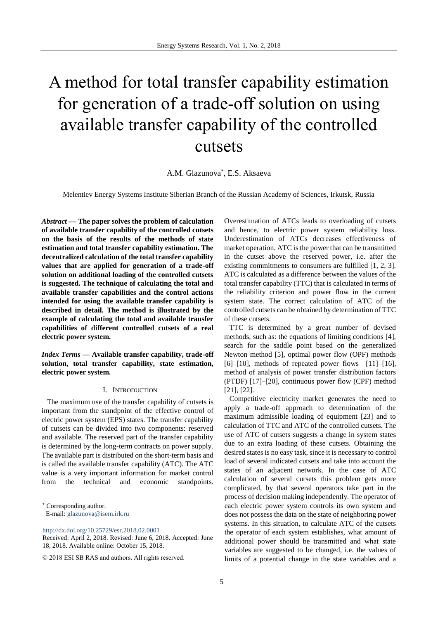# A method for total transfer capability estimation for generation of a trade-off solution on using available transfer capability of the controlled cutsets

A.M. Glazunova\* , E.S. Aksaeva

Melentiev Energy Systems Institute Siberian Branch of the Russian Academy of Sciences, Irkutsk, Russia

*Abstract* **— The paper solves the problem of calculation of available transfer capability of the controlled cutsets on the basis of the results of the methods of state estimation and total transfer capability estimation. The decentralized calculation of the total transfer capability values that are applied for generation of a trade-off solution on additional loading of the controlled cutsets is suggested. The technique of calculating the total and available transfer capabilities and the control actions intended for using the available transfer capability is described in detail. The method is illustrated by the example of calculating the total and available transfer capabilities of different controlled cutsets of a real electric power system.** 

*Index Terms* **— Available transfer capability, trade-off solution, total transfer capability, state estimation, electric power system.**

#### I. INTRODUCTION

The maximum use of the transfer capability of cutsets is important from the standpoint of the effective control of electric power system (EPS) states. The transfer capability of cutsets can be divided into two components: reserved and available. The reserved part of the transfer capability is determined by the long-term contracts on power supply. The available part is distributed on the short-term basis and is called the available transfer capability (ATC). The ATC value is a very important information for market control from the technical and economic standpoints.

\* Corresponding author.

<http://dx.doi.org/10.25729/esr.2018.02.0001>

Overestimation of ATCs leads to overloading of cutsets and hence, to electric power system reliability loss. Underestimation of ATCs decreases effectiveness of market operation. ATC is the power that can be transmitted in the cutset above the reserved power, i.e. after the existing commitments to consumers are fulfilled [1, 2, 3]. ATC is calculated as a difference between the values of the total transfer capability (TTC) that is calculated in terms of the reliability criterion and power flow in the current system state. The correct calculation of ATC of the controlled cutsets can be obtained by determination of TTC of these cutsets.

TTC is determined by a great number of devised methods, such as: the equations of limiting conditions [4], search for the saddle point based on the generalized Newton method [5], optimal power flow (OPF) methods  $[6]$ – $[10]$ , methods of repeated power flows  $[11]$ – $[16]$ , method of analysis of power transfer distribution factors (PTDF) [17]–[20], continuous power flow (CPF) method [21], [22].

Competitive electricity market generates the need to apply a trade-off approach to determination of the maximum admissible loading of equipment [23] and to calculation of TTC and ATC of the controlled cutsets. The use of ATC of cutsets suggests a change in system states due to an extra loading of these cutsets. Obtaining the desired states is no easy task, since it is necessary to control load of several indicated cutsets and take into account the states of an adjacent network. In the case of ATC calculation of several cursets this problem gets more complicated, by that several operators take part in the process of decision making independently. The operator of each electric power system controls its own system and does not possess the data on the state of neighboring power systems. In this situation, to calculate ATC of the cutsets the operator of each system establishes, what amount of additional power should be transmitted and what state variables are suggested to be changed, i.e. the values of limits of a potential change in the state variables and a

E-mail: [glazunova@isem.irk.ru](mailto:glazunova@isem.irk.ru)

Received: April 2, 2018. Revised: June 6, 2018. Accepted: June 18, 2018. Available online: October 15, 2018.

<sup>© 2018</sup> ESI SB RAS and authors. All rights reserved.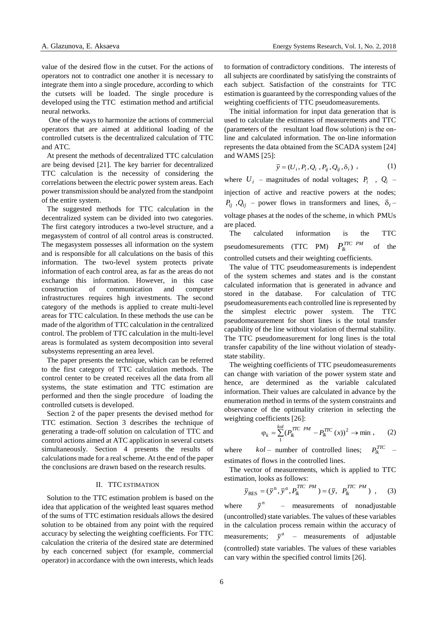value of the desired flow in the cutset. For the actions of operators not to contradict one another it is necessary to integrate them into a single procedure, according to which the cutsets will be loaded. The single procedure is developed using the TTC estimation method and artificial neural networks.

One of the ways to harmonize the actions of commercial operators that are aimed at additional loading of the controlled cutsets is the decentralized calculation of TTC and ATC.

At present the methods of decentralized TTC calculation are being devised [21]. The key barrier for decentralized TTC calculation is the necessity of considering the correlations between the electric power system areas. Each power transmission should be analyzed from the standpoint of the entire system.

The suggested methods for TTC calculation in the decentralized system can be divided into two categories. The first category introduces a two-level structure, and a megasystem of control of all control areas is constructed. The megasystem possesses all information on the system and is responsible for all calculations on the basis of this information. The two-level system protects private information of each control area, as far as the areas do not exchange this information. However, in this case construction of communication and computer infrastructures requires high investments. The second category of the methods is applied to create multi-level areas for TTC calculation. In these methods the use can be made of the algorithm of TTC calculation in the centralized control. The problem of TTC calculation in the multi-level areas is formulated as system decomposition into several subsystems representing an area level.

The paper presents the technique, which can be referred to the first category of TTC calculation methods. The control center to be created receives all the data from all systems, the state estimation and TTC estimation are performed and then the single procedure of loading the controlled cutsets is developed.

Section 2 of the paper presents the devised method for TTC estimation. Section 3 describes the technique of generating a trade-off solution on calculation of TTC and control actions aimed at ATC application in several cutsets simultaneously. Section 4 presents the results of calculations made for a real scheme. At the end of the paper the conclusions are drawn based on the research results.

#### II. TTC ESTIMATION

Solution to the TTC estimation problem is based on the idea that application of the weighted least squares method of the sums of TTC estimation residuals allows the desired solution to be obtained from any point with the required accuracy by selecting the weighting coefficients. For TTC calculation the criteria of the desired state are determined by each concerned subject (for example, commercial operator) in accordance with the own interests, which leads

to formation of contradictory conditions. The interests of all subjects are coordinated by satisfying the constraints of each subject. Satisfaction of the constraints for TTC estimation is guaranteed by the corresponding values of the weighting coefficients of TTC pseudomeasurements.

The initial information for input data generation that is used to calculate the estimates of measurements and TTC (parameters of the resultant load flow solution) is the оnline and calculated information. The on-line information represents the data obtained from the SCADA system [24] and WAMS [25]:

$$
\overline{y} = (U_i, P_i, Q_i, P_{ij}, Q_{ij}, \delta_i) , \qquad (1)
$$

where  $U_i$  – magnitudes of nodal voltages;  $P_i$ ,  $Q_i$  – injection of active and reactive powers at the nodes;  $P_{ij}$ ,  $Q_{ij}$  – power flows in transformers and lines,  $\delta_i$ – voltage phases at the nodes of the scheme, in which PMUs are placed.

The calculated information is the TTC pseudomesurements (TTC PM)  $P_{lk}^{TTCPM}$ of the controlled cutsets and their weighting coefficients.

The value of TTC pseudomeasurements is independent of the system schemes and states and is the constant calculated information that is generated in advance and stored in the database. For calculation of TTC pseudomeasurements each controlled line is represented by the simplest electric power system. The TTC pseudomeasurement for short lines is the total transfer capability of the line without violation of thermal stability. The TTC pseudomeasurement for long lines is the total transfer capability of the line without violation of steadystate stability.

The weighting coefficients of TTC pseudomeasurements can change with variation of the power system state and hence, are determined as the variable calculated information. Their values are calculated in advance by the enumeration method in terms of the system constraints and observance of the optimality criterion in selecting the weighting coefficients [26]:

$$
\varphi_k = \sum_{1}^{kol} (P_{lk}^{TTC \ PM} - P_{lk}^{TTC \ (x))^2 \to \min , \tag{2}
$$

where *kol* – number of controlled lines;  $P_{lk}^{TTC}$ estimates of flows in the controlled lines.

The vector of measurements, which is applied to TTC estimation, looks as follows:

$$
\overline{y}_{RES} = (\overline{y}^n, \overline{y}^a, P_k^{TTCPM}) = (\overline{y}, P_k^{TTCPM}) , \quad (3)
$$

where  $\overline{v}^n$ – measurements of nonadjustable (uncontrolled) state variables. The values of these variables in the calculation process remain within the accuracy of measurements;  $\bar{y}^a$  – measurements of adjustable (controlled) state variables. The values of these variables can vary within the specified control limits [26].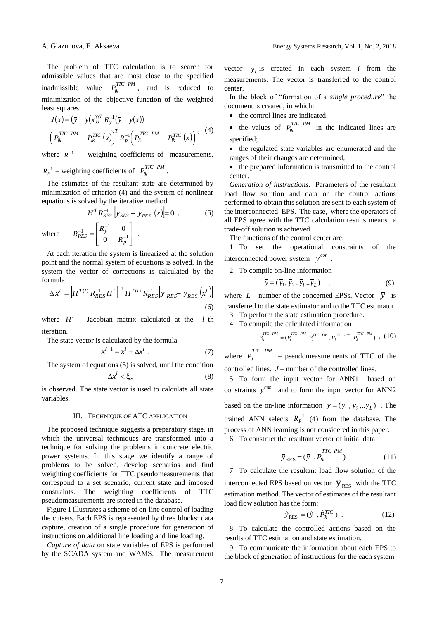The problem of TTC calculation is to search for admissible values that are most close to the specified inadmissible value  $P_{lk}^{TTCPM}$ , and is reduced to minimization of the objective function of the weighted least squares:

$$
J(x) = (\bar{y} - y(x))^{T} R_{y}^{-1} (\bar{y} - y(x)) +
$$
  
\n
$$
\left( P_{lk}^{TTC \ PM} - P_{lk}^{TTC} (x) \right)^{T} R_{p}^{-1} \left( P_{lk}^{TTC \ PM} - P_{lk}^{TTC} (x) \right),
$$
 (4)

where  $R^{-1}$  – weighting coefficients of measurements,

$$
R_P^{-1}
$$
 – weighting coefficients of  $P_{lk}^{TTCPM}$ 

L  $\mathsf{I}$ L

 $\frac{-1}{RES} = \begin{vmatrix} R_y & R_z \ 0 & R_z \end{vmatrix}$  $R_{RES}^{-1} = \begin{bmatrix} R_{y}^{-1} & 0 \\ 0 & -1 \end{bmatrix}$ .

 $\mathsf{I}$  $=\begin{vmatrix} \mathbf{r} \mathbf{y} & \mathbf{0} \\ \mathbf{0} & \mathbf{p} \end{vmatrix}$ 

 $R_{y}^{-1}$   $R_{y}^{-1}$ 0

 $-1$   $R_y^-$ 

The estimates of the resultant state are determined by minimization of criterion (4) and the system of nonlinear equations is solved by the iterative method

$$
H^T R_{RES}^{-1} \left[ \bar{y}_{RES} - y_{RES} \right] (x) = 0 , \qquad (5)
$$

.

where

At each iteration the system is linearized at the solution point and the normal system of equations is solved. In the system the vector of corrections is calculated by the formula

J J J

1

0 *p* J

$$
\Delta x^{l} = \left[ H^{T(l)} R_{RES}^{-1} H^{l} \right]^{-1} H^{T(l)} R_{RES}^{-1} \left[ \bar{y}_{RES} - y_{RES} \left( x^{l} \right) \right]
$$
\n(6)

where  $H^l$  – Jacobian matrix calculated at the *l*–th iteration.

The state vector is calculated by the formula

$$
x^{l+1} = x^l + \Delta x^l \tag{7}
$$

The system of equations (5) is solved, until the condition

$$
\Delta x^l < \xi_x \tag{8}
$$

is observed. The state vector is used to calculate all state variables.

# III. TECHNIQUE OF ATC APPLICATION

The proposed technique suggests a preparatory stage, in which the universal techniques are transformed into a technique for solving the problems in concrete electric power systems. In this stage we identify a range of problems to be solved, develop scenarios and find weighting coefficients for TTC pseudomeasurements that correspond to a set scenario, current state and imposed constraints. The weighting coefficients of TTC pseudomeasurements are stored in the database.

Figure 1 illustrates a scheme of on-line control of loading the cutsets. Each EPS is represented by three blocks: data capture, creation of a single procedure for generation of instructions on additional line loading and line loading.

*Capture of data* on state variables of EPS is performed by the SCADA system and WAMS. The measurement

vector  $\bar{y}_i$  is created in each system *i* from the measurements. The vector is transferred to the control center.

In the block of "formation of a *single procedure*" the document is created, in which:

• the control lines are indicated;

• the values of  $P_{lk}^{TTCPM}$  in the indicated lines are specified;

• the regulated state variables are enumerated and the ranges of their changes are determined;

• the prepared information is transmitted to the control center.

*Generation of instructions*. Parameters of the resultant load flow solution and data on the control actions performed to obtain this solution are sent to each system of the interconnected EPS. The case, where the operators of all EPS agree with the TTC calculation results means a trade-off solution is achieved.

The functions of the control center are:

1. To set the operational constraints of the interconnected power system  $y^{con}$ .

2. To compile on-line information

$$
\overline{y} = (\overline{y}_1, \overline{y}_2, \overline{y}_l \dots \overline{y}_L) \quad , \tag{9}
$$

where  $L$  – number of the concerned EPSs. Vector  $\overline{y}$  is transferred to the state estimator and to the TTC estimator.

3. To perform the state estimation procedure.

4. To compile the calculated information

$$
P_{lk}^{TTC~PM} = (P_1^{TTC~PM}, P_2^{TTC~PM}, P_j^{TTC~PM}...P_j^{TTC~PM}) , (10)
$$

where  $P_j^{TTCPM}$  – pseudomeasurements of TTC of the controlled lines. *J* – number of the controlled lines.

5. To form the input vector for ANN1 based on constraints  $y^{con}$  and to form the input vector for ANN2 based on the on-line information  $\bar{y} = (\bar{y}_1, \bar{y}_2, \dots, \bar{y}_L)$ . The trained ANN selects  $R_P^{-1}$  (4) from the database. The process of ANN learning is not considered in this paper.

6. To construct the resultant vector of initial data

$$
\overline{y}_{RES} = (\overline{y}, P_{lk}^{TTCPM}) \quad . \tag{11}
$$

7. To calculate the resultant load flow solution of the interconnected EPS based on vector  $\overline{y}_{RES}$  with the TTC estimation method. The vector of estimates of the resultant load flow solution has the form:

$$
\hat{y}_{\text{RES}} = (\hat{y}, \hat{P}_{lk}^{TTC}) \tag{12}
$$

8. To calculate the controlled actions based on the results of TTC estimation and state estimation.

9. To communicate the information about each EPS to the block of generation of instructions for the each system.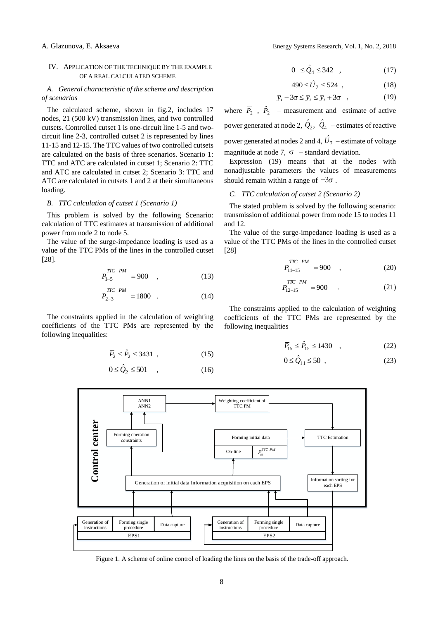### IV. APPLICATION OF THE TECHNIQUE BY THE EXAMPLE OF A REAL CALCULATED SCHEME

# *A. General characteristic of the scheme and description of scenarios*

The calculated scheme, shown in fig.2, includes 17 nodes, 21 (500 kV) transmission lines, and two controlled cutsets. Controlled cutset 1 is one-circuit line 1-5 and twocircuit line 2-3, controlled cutset 2 is represented by lines 11-15 and 12-15. The TTC values of two controlled cutsets are calculated on the basis of three scenarios. Scenario 1: TTC and ATC are calculated in cutset 1; Scenario 2: TTC and ATC are calculated in cutset 2; Scenario 3: TTC and ATC are calculated in cutsets 1 and 2 at their simultaneous loading.

### *B. TTC calculation of cutset 1 (Scenario 1)*

This problem is solved by the following Scenario: calculation of TTC estimates at transmission of additional power from node 2 to node 5.

The value of the surge-impedance loading is used as a value of the TTC PMs of the lines in the controlled cutset [28].

$$
P_{1-5}^{TTCPM} = 900 \quad , \tag{13}
$$

$$
P_{2-3}^{TTC\ PM} = 1800\quad . \tag{14}
$$

The constraints applied in the calculation of weighting coefficients of the TTC PMs are represented by the following inequalities:

$$
\overline{P}_2 \le \hat{P}_2 \le 3431 , \qquad (15)
$$

$$
0 \le \hat{Q}_2 \le 501 \quad , \tag{16}
$$

$$
1000 \text{ m/s}
$$

$$
0 \leq \hat{Q}_4 \leq 342 \quad , \tag{17}
$$

$$
490 \leq \hat{U}_7 \leq 524 \quad , \tag{18}
$$

$$
\overline{y}_i - 3\sigma \le \overline{y}_i \le \overline{y}_i + 3\sigma \quad , \tag{19}
$$

where  $\overline{P}_2$ ,  $\hat{P}_2$  – measurement and estimate of active power generated at node 2,  $\hat{Q}_2$ ,  $\hat{Q}_4$  – estimates of reactive power generated at nodes 2 and 4,  $\hat{U}_7$  – estimate of voltage magnitude at node 7,  $\sigma$  – standard deviation.

Expression (19) means that at the nodes with nonadjustable parameters the values of measurements should remain within a range of  $\pm 3\sigma$ .

#### *C. TTC calculation of cutset 2 (Scenario 2)*

The stated problem is solved by the following scenario: transmission of additional power from node 15 to nodes 11 and 12.

The value of the surge-impedance loading is used as a value of the TTC PMs of the lines in the controlled cutset [28]

$$
P_{11-15}^{TTC\ PM} = 900\quad ,\tag{20}
$$

$$
P_{12-15}^{TTC\ PM} = 900\tag{21}
$$

The constraints applied to the calculation of weighting coefficients of the TTC PMs are represented by the following inequalities

$$
\overline{P}_{15} \le \hat{P}_{15} \le 1430 \quad , \tag{22}
$$

$$
0 \le \hat{Q}_{11} \le 50 \tag{23}
$$



Figure 1. A scheme of online control of loading the lines on the basis of the trade-off approach.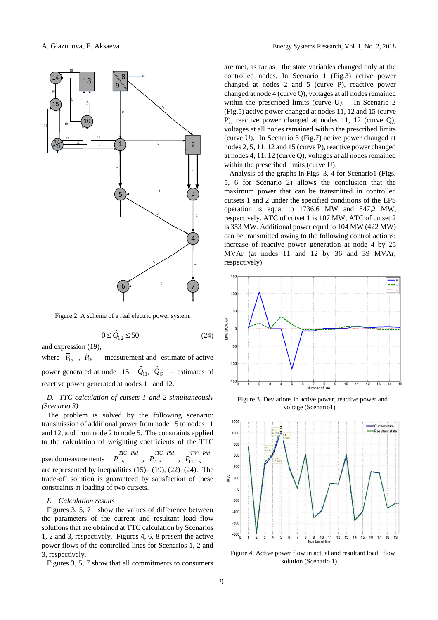

Figure 2. A scheme of a real electric power system.

$$
0 \le \hat{Q}_{12} \le 50\tag{24}
$$

and expression (19),

where  $\overline{P}_{15}$ ,  $\hat{P}_{15}$  – measurement and estimate of active power generated at node 15,  $\hat{Q}_{11}$ ,  $\hat{Q}_{12}$  – estimates of reactive power generated at nodes 11 and 12.

*D. TTC calculation of cutsets 1 and 2 simultaneously (Scenario 3)*

The problem is solved by the following scenario: transmission of additional power from node 15 to nodes 11 and 12, and from node 2 to node 5. The constraints applied to the calculation of weighting coefficients of the TTC pseudomeasurements  $1 - 5$  $P_{1-5}^{TTCPM}$ ,  $P_{2-3}$  $P_{2-3}^{TTC}$  *PM*  $P_{11-15}^{TTC}$ *TTC PM* are represented by inequalities  $(15)$ – $(19)$ ,  $(22)$ – $(24)$ . The trade-off solution is guaranteed by satisfaction of these constraints at loading of two cutsets.

#### *E. Calculation results*

Figures 3, 5, 7 show the values of difference between the parameters of the current and resultant load flow solutions that are obtained at TTC calculation by Scenarios 1, 2 and 3, respectively. Figures 4, 6, 8 present the active power flows of the controlled lines for Scenarios 1, 2 and 3, respectively.

Figures 3, 5, 7 show that all commitments to consumers

are met, as far as the state variables changed only at the controlled nodes. In Scenario 1 (Fig.3) active power changed at nodes 2 and 5 (curve P), reactive power changed at node 4 (curve Q), voltages at all nodes remained within the prescribed limits (curve U). In Scenario 2 (Fig.5) active power changed at nodes 11, 12 and 15 (curve P), reactive power changed at nodes 11, 12 (curve Q), voltages at all nodes remained within the prescribed limits (curve U). In Scenario 3 (Fig.7) active power changed at nodes 2, 5, 11, 12 and 15 (curve P), reactive power changed at nodes 4, 11, 12 (curve Q), voltages at all nodes remained within the prescribed limits (curve U).

Analysis of the graphs in Figs. 3, 4 for Scenario1 (Figs. 5, 6 for Scenario 2) allows the conclusion that the maximum power that can be transmitted in controlled cutsets 1 and 2 under the specified conditions of the EPS operation is equal to 1736,6 MW and 847,2 MW, respectively. ATC of cutset 1 is 107 MW, ATC of cutset 2 is 353 MW. Additional power equal to 104 MW (422 MW) can be transmitted owing to the following control actions: increase of reactive power generation at node 4 by 25 MVAr (at nodes 11 and 12 by 36 and 39 MVAr, respectively).



Figure 3. Deviations in active power, reactive power and voltage (Scenario1).



Figure 4. Active power flow in actual and resultant load flow solution (Scenario 1).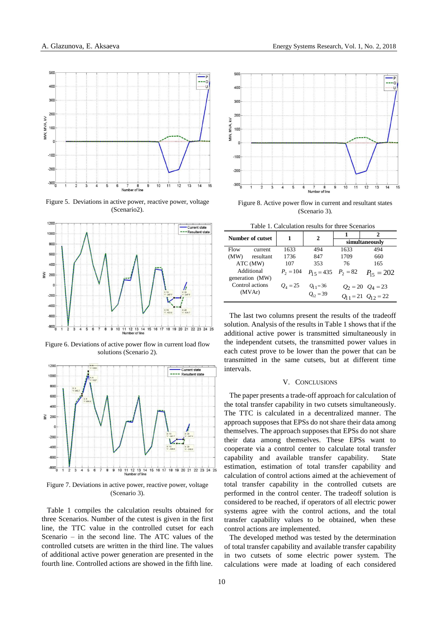

Figure 5. Deviations in active power, reactive power, voltage (Scenario2).



Figure 6. Deviations of active power flow in current load flow solutions (Scenario 2).



Figure 7. Deviations in active power, reactive power, voltage (Scenario 3).

Table 1 compiles the calculation results obtained for three Scenarios. Number of the cutest is given in the first line, the TTC value in the controlled cutset for each Scenario – in the second line. The ATC values of the controlled cutsets are written in the third line. The values of additional active power generation are presented in the fourth line. Controlled actions are showed in the fifth line.



Figure 8. Active power flow in current and resultant states (Scenario 3).

Table 1. Calculation results for three Scenarios

| <b>Number of cutset</b>       |           | 1           | 2                                   |                       | 2                           |
|-------------------------------|-----------|-------------|-------------------------------------|-----------------------|-----------------------------|
|                               |           |             |                                     | simultaneously        |                             |
| Flow                          | current   | 1633        | 494                                 | 1633                  | 494                         |
| (MW)                          | resultant | 1736        | 847                                 | 1709                  | 660                         |
| ATC (MW)                      |           | 107         | 353                                 | 76                    | 165                         |
| Additional<br>generation (MW) |           | $P_2 = 104$ | $P_1$ <sub>5</sub> = 435 $P_2$ = 82 |                       | $P_{15} = 202$              |
| Control actions<br>(MVAr)     |           | $O_4 = 25$  | $Q_{11} = 36$                       | $Q_2 = 20$ $Q_4 = 23$ |                             |
|                               |           |             | $Q_{12} = 39$                       |                       | $Q_{11} = 21 \ Q_{12} = 22$ |

The last two columns present the results of the tradeoff solution. Analysis of the results in Table 1 shows that if the additional active power is transmitted simultaneously in the independent cutsets, the transmitted power values in each cutest prove to be lower than the power that can be transmitted in the same cutsets, but at different time intervals.

# V. CONCLUSIONS

The paper presents a trade-off approach for calculation of the total transfer capability in two cutsets simultaneously. The TTC is calculated in a decentralized manner. The approach supposes that EPSs do not share their data among themselves. The approach supposes that EPSs do not share their data among themselves. These EPSs want to cooperate via a control center to calculate total transfer capability and available transfer capability. State estimation, estimation of total transfer capability and calculation of control actions aimed at the achievement of total transfer capability in the controlled cutsets are performed in the control center. The tradeoff solution is considered to be reached, if operators of all electric power systems agree with the control actions, and the total transfer capability values to be obtained, when these control actions are implemented.

The developed method was tested by the determination of total transfer capability and available transfer capability in two cutsets of some electric power system. The calculations were made at loading of each considered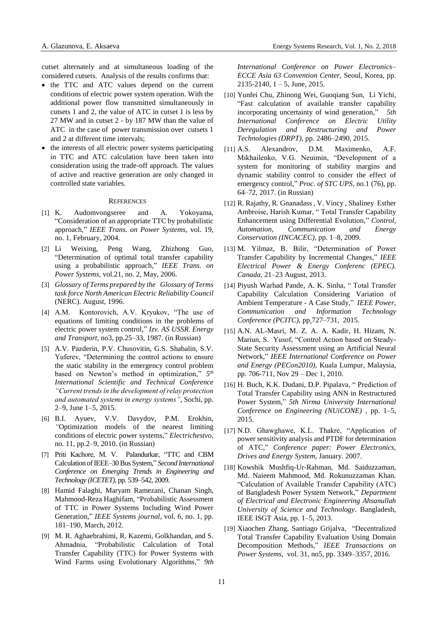cutset alternately and at simultaneous loading of the considered cutsets. Analysis of the results confirms that:

- the TTC and ATC values depend on the current conditions of electric power system operation. With the additional power flow transmitted simultaneously in cutsets 1 and 2, the value of ATC in cutset 1 is less by 27 MW and in cutset 2 - by 187 MW than the value of ATC in the case of power transmission over cutsets 1 and 2 at different time intervals;
- the interests of all electric power systems participating in TTC and ATC calculation have been taken into consideration using the trade-off approach. The values of active and reactive generation are only changed in controlled state variables.

#### **REFERENCES**

- [1] K. Audomvongseree and A. Yokoyama, "Consideration of an appropriate TTC by probabilistic approach," *IEEE Trans. on Power Systems*, vol. 19, no. 1, February, 2004.
- [2] Li Weixing, Peng Wang, Zhizhong Guo, "Determination of optimal total transfer capability using a probabilistic approach," *IEEE Trans. on Power Systems*, vol.21, no. 2, May, 2006.
- [3] *Glossary of Terms prepared by the Glossary of Terms task force North American Electric Reliability Council* (NERC). August, 1996.
- [4] A.M. Kontorovich, A.V. Kryukov, "The use of equations of limiting conditions in the problems of electric power system control," *Izv. AS USSR. Energy and Transport*, no3, pp.25–33, 1987. (in Russian)
- [5] A.V. Pazderin, P.V. Chusovitin, G.S. Shabalin, S.V. Yuferev, "Determining the control actions to ensure the static stability in the emergency control problem based on Newton's method in optimization," *5 th International Scientific and Technical Conference "Current trends in the development of relay protection and automated systems in energy systems"*, Sochi, pp. 2–9, June 1–5, 2015.
- [6] B.I. Ayuev, V.V. Davydov, P.M. Erokhin, *"*Optimization models of the nearest limiting conditions of electric power systems," *Electrichestvo,*  no. 11, pp.2–9, 2010. (in Russian)
- [7] Priti Kachore, M. V. Palandurkar, "TTC and CBM Calculation of IEEE–30 Bus System," *Second International Conference on Emerging Trends in Engineering and Technology (ICETET)*, pp. 539–542, 2009.
- [8] Hamid Falaghi, Maryam Ramezani, Chanan Singh, Mahmood-Reza Haghifam, "Probabilistic Assessment of TTC in Power Systems Including Wind Power Generation," *IEEE Systems journal*, vol. 6, no. 1, pp. 181–190, March, 2012.
- [9] M. R. Aghaebrahimi, R. Kazemi, Golkhandan, and S. Ahmadnia, "Probabilistic Calculation of Total Transfer Capability (TTC) for Power Systems with Wind Farms using Evolutionary Algorithms," *9th*

*International Conference on Power Electronics– ECCE Asia 63 Convention Center*, Seoul, Korea, pp.  $2135-2140$ ,  $1-5$ , June, 2015.

- [10] Yunfei Chu, [Zhinong Wei,](http://ieeexplore.ieee.org/search/searchresult.jsp?searchWithin=%22Authors%22:.QT.Zhinong%20Wei.QT.&newsearch=true) Guogiang Sun, Li [Yichi,](http://ieeexplore.ieee.org/search/searchresult.jsp?searchWithin=%22Authors%22:.QT.Yichi%20Li.QT.&newsearch=true) "Fast calculation of available transfer capability incorporating uncertainty of wind generation," *[5th](http://ieeexplore.ieee.org/xpl/mostRecentIssue.jsp?punumber=7426173)  [International Conference on Electric Utility](http://ieeexplore.ieee.org/xpl/mostRecentIssue.jsp?punumber=7426173)  [Deregulation and Restructuring and Power](http://ieeexplore.ieee.org/xpl/mostRecentIssue.jsp?punumber=7426173)  [Technologies \(DRPT\),](http://ieeexplore.ieee.org/xpl/mostRecentIssue.jsp?punumber=7426173)* pp. 2486–2490, 2015.
- [11] A.S. Alexandrov, D.M. Maximenko, A.F. Mikhailenko, V.G. Neuimin, "Development of a system for monitoring of stability margins and dynamic stability control to consider the effect of emergency control," *Proc. of STC UPS*, no.1 (76), pp. 64–72, 2017. (in Russian)
- [12] R. Rajathy, R. Gnanadass , V. Vincy , Shaliney Esther Ambroise, Harish Kumar, " Total Transfer Capability Enhancement using Differential Evolution," *Control, Automation, Communication and Energy Conservation (INCACEC)*, pp. 1–8, 2009.
- [13] M. Yilmaz, B. Bilir, "Determination of Power Transfer Capability by Incremental Changes," *IEEE Electrical Power & Energy Conferenc (EPEC). Canada*, 21–23 August, 2013.
- [14] [Piyush Warhad Pande,](http://ieeexplore.ieee.org/search/searchresult.jsp?searchWithin=%22Authors%22:.QT.Piyush%20Warhad%20Pande.QT.&newsearch=true) [A. K. Sinha,](http://ieeexplore.ieee.org/search/searchresult.jsp?searchWithin=%22Authors%22:.QT.A.%20K.%20Sinha.QT.&newsearch=true) " Total Transfer Capability Calculation Considering Variation of Ambient Temperature - A Case Study," *[IEEE Power,](http://ieeexplore.ieee.org/xpl/mostRecentIssue.jsp?punumber=7428380)  [Communication and Information Technology](http://ieeexplore.ieee.org/xpl/mostRecentIssue.jsp?punumber=7428380)  [Conference \(PCITC\)](http://ieeexplore.ieee.org/xpl/mostRecentIssue.jsp?punumber=7428380)*, pp.727–731, 2015.
- [15] A.N. AL-Masri, M. Z. A. A. Kadir, H. Hizam, N. Mariun, S. Yusof, "Control Action based on Steady-State Security Assessment using an Artificial Neural Network," *IEEE International Conference on Power and Energy (PECon2010),* Kuala Lumpur, Malaysia, pp. 706-711, Nov 29 – Dec 1, 2010.
- [16] H. [Buch,](http://ieeexplore.ieee.org/search/searchresult.jsp?searchWithin=%22Authors%22:.QT.Hitarth%20Buch.QT.&newsearch=true) K.K. [Dudani,](http://ieeexplore.ieee.org/search/searchresult.jsp?searchWithin=%22Authors%22:.QT.Kalpesh%20K%20Dudani.QT.&newsearch=true) D.P. [Pipalava,](http://ieeexplore.ieee.org/search/searchresult.jsp?searchWithin=%22Authors%22:.QT.Dinesh%20P%20Pipalava.QT.&newsearch=true) " Prediction of Total Transfer Capability using ANN in Restructured Power System," *[5th Nirma University International](http://ieeexplore.ieee.org/xpl/mostRecentIssue.jsp?punumber=7446021)  [Conference on Engineering \(NUiCONE\)](http://ieeexplore.ieee.org/xpl/mostRecentIssue.jsp?punumber=7446021)* , pp. 1–5, 2015.
- [17] N.D. Ghawghawe, K.L. Thakre, "Application of power sensitivity analysis and PTDF for determination of ATC," *Conference paper: Power Electronics, Drives and Energy System*, January. 2007.
- [18] Kowshik Mushfiq-Ur-Rahman, Md. Saiduzzaman, Md. Naieem Mahmood, Md. Rokunuzzaman Khan. "Calculation of Available Transfer Capability (ATC) of Bangladesh Power System Network," *Department of Electrical and Electronic Engineering Ahsanullah University of Science and Technology*. Bangladesh, IEEE ISGT Asia, pp. 1–5, 2013.
- [19] [Xiaochen Zhang,](http://ieeexplore.ieee.org/search/searchresult.jsp?searchWithin=%22Authors%22:.QT.Xiaochen%20Zhang.QT.&newsearch=true) [Santiago Grijalva,](http://ieeexplore.ieee.org/search/searchresult.jsp?searchWithin=%22Authors%22:.QT.Santiago%20Grijalva.QT.&newsearch=true) "Decentralized Total Transfer Capability Evaluation Using Domain Decomposition Methods," *[IEEE Transactions on](http://ieeexplore.ieee.org/xpl/RecentIssue.jsp?punumber=59)  [Power Systems](http://ieeexplore.ieee.org/xpl/RecentIssue.jsp?punumber=59)*, vol. 31, no5, pp. 3349–3357, 2016.